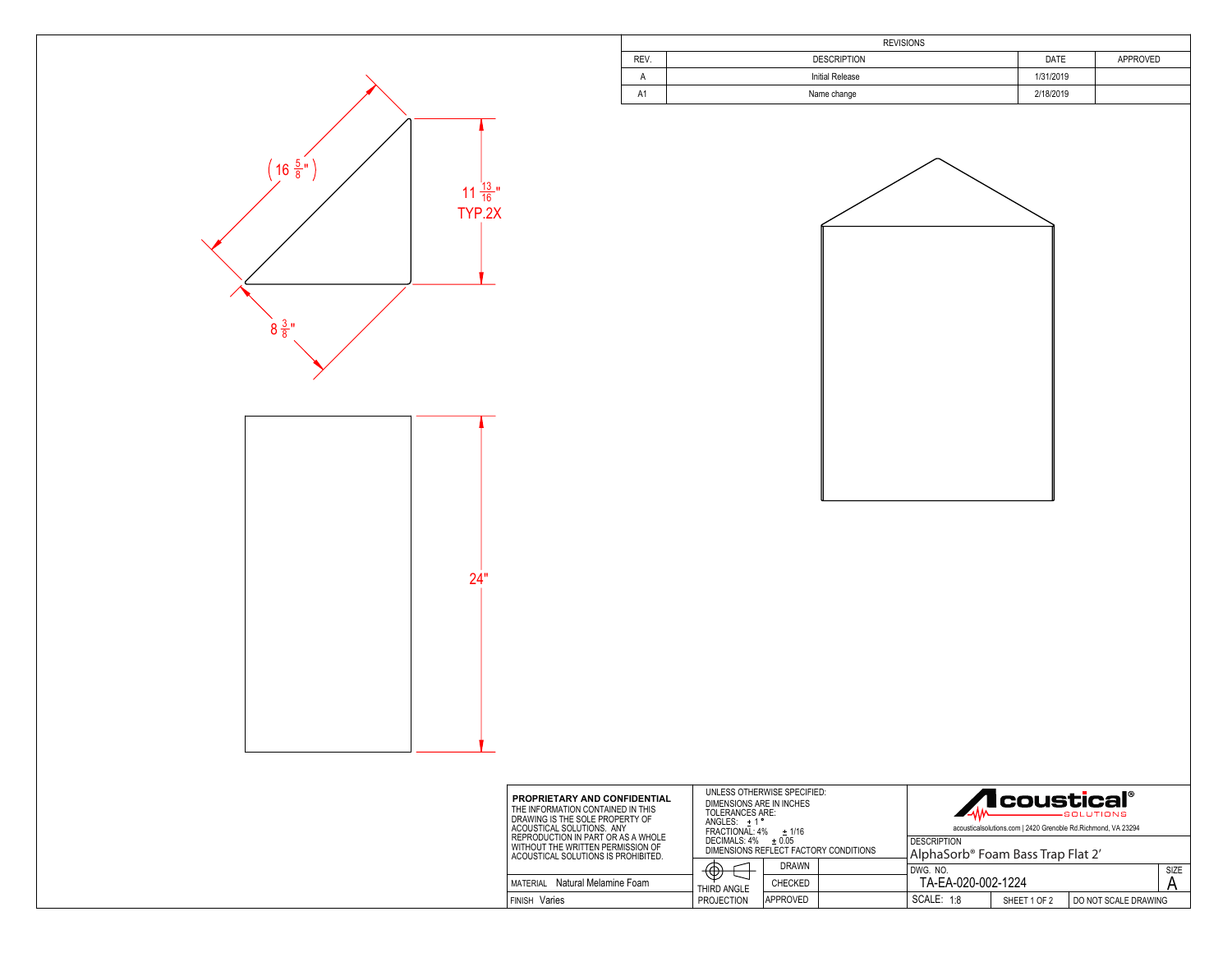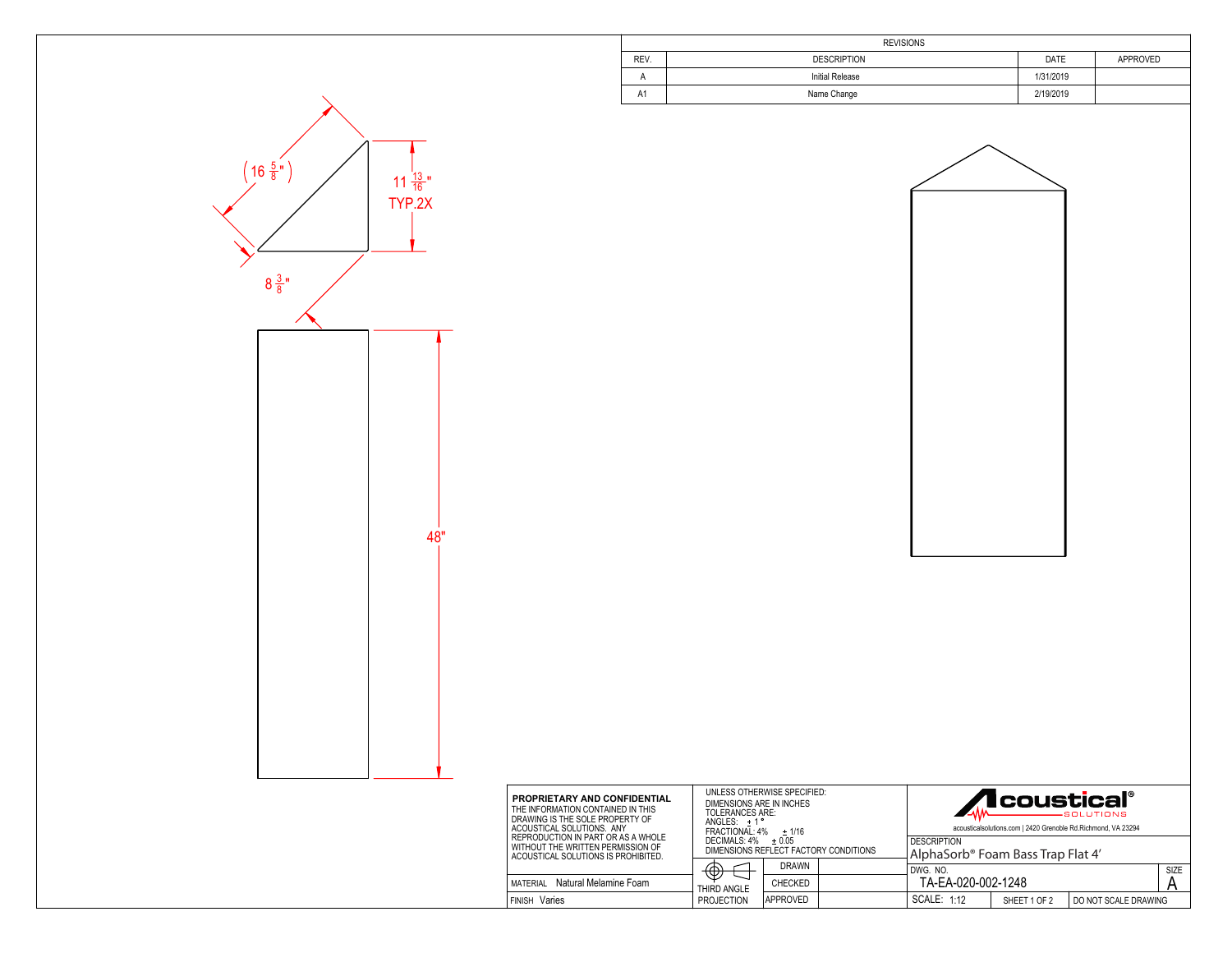| <b>REVISIONS</b> |                    |           |          |  |  |
|------------------|--------------------|-----------|----------|--|--|
| REV.             | <b>DESCRIPTION</b> | DATE      | APPROVED |  |  |
|                  | Initial Release    | 1/31/2019 |          |  |  |
| A <sub>1</sub>   | Name Change        | 2/19/2019 |          |  |  |



SCALE: 1:12 | SHEET 1 OF 2

DO NOT SCALE DRAWING



**FINISH Varies** 

Varies **PROJECTION** APPROVED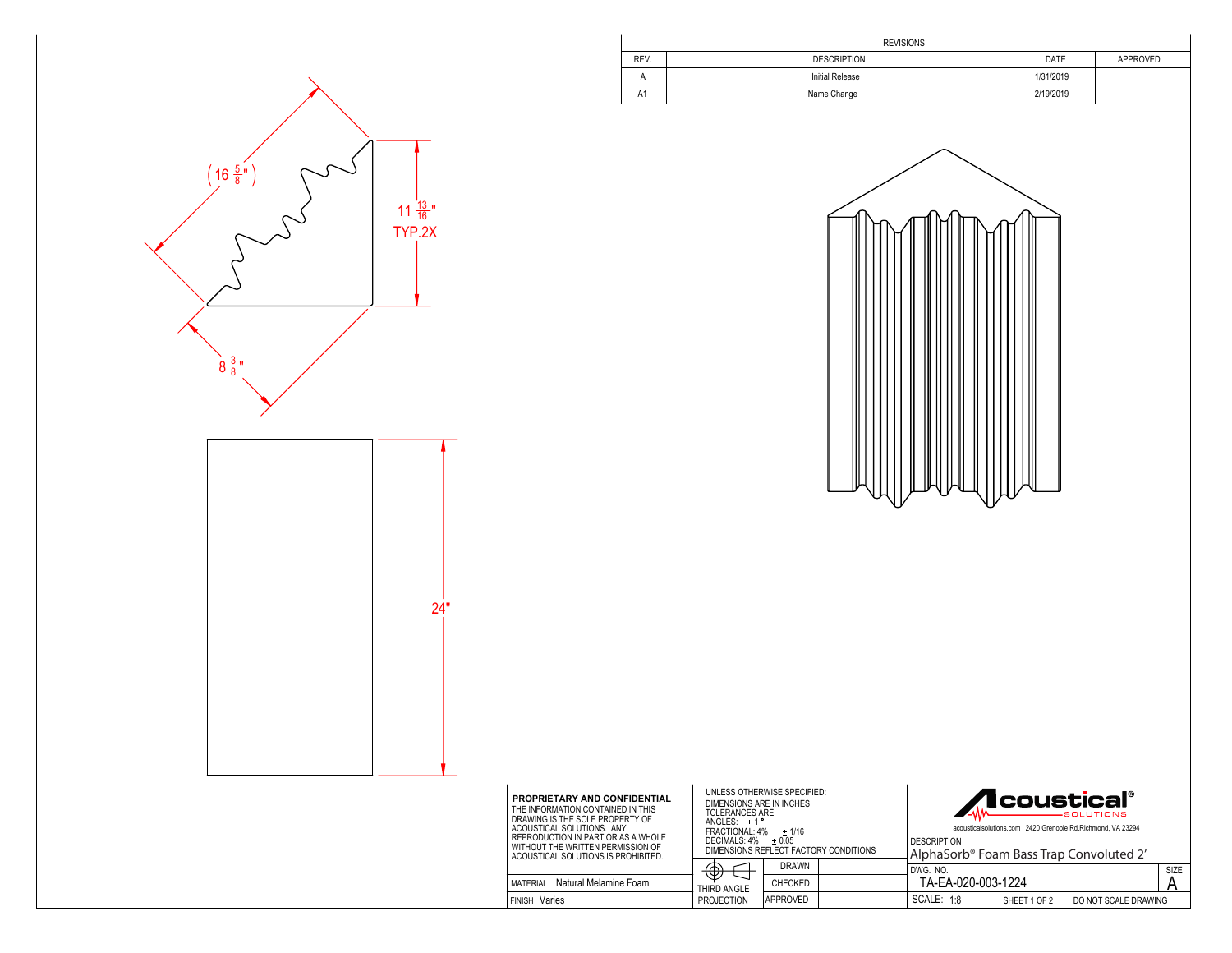|                | <b>REVISIONS</b>       |           |          |  |  |
|----------------|------------------------|-----------|----------|--|--|
| REV.           | <b>DESCRIPTION</b>     |           | APPROVED |  |  |
| A              | <b>Initial Release</b> |           |          |  |  |
| A <sub>1</sub> | Name Change            | 2/19/2019 |          |  |  |





| <b>PROPRIETARY AND CONFIDENTIAL</b><br>THE INFORMATION CONTAINED IN THIS<br>DRAWING IS THE SOLE PROPERTY OF<br>ACOUSTICAL SOLUTIONS. ANY<br>REPRODUCTION IN PART OR AS A WHOLE<br>WITHOUT THE WRITTEN PERMISSION OF<br>ACOUSTICAL SOLUTIONS IS PROHIBITED. | UNLESS OTHERWISE SPECIFIED:<br>DIMENSIONS ARE IN INCHES<br>TOLERANCES ARE:<br>$ANGLES: +1$<br>FRACTIONAL: 4%<br>$+1/16$ |                |                                                                           | <b>/I</b> coustical®<br>-SOLUTIONS<br>acousticalsolutions.com   2420 Grenoble Rd.Richmond, VA 23294 |  |  |      |
|------------------------------------------------------------------------------------------------------------------------------------------------------------------------------------------------------------------------------------------------------------|-------------------------------------------------------------------------------------------------------------------------|----------------|---------------------------------------------------------------------------|-----------------------------------------------------------------------------------------------------|--|--|------|
|                                                                                                                                                                                                                                                            | DECIMALS: 4%<br>$+0.05$<br>DIMENSIONS REFLECT FACTORY CONDITIONS                                                        |                | <b>DESCRIPTION</b><br>AlphaSorb <sup>®</sup> Foam Bass Trap Convoluted 2' |                                                                                                     |  |  |      |
|                                                                                                                                                                                                                                                            | ʹሐ<br>Д,                                                                                                                | <b>DRAWN</b>   |                                                                           | DWG. NO.                                                                                            |  |  | SIZE |
| Natural Melamine Foam<br>MATERIAL                                                                                                                                                                                                                          | THIRD ANGLE                                                                                                             | <b>CHECKED</b> |                                                                           | TA-EA-020-003-1224                                                                                  |  |  |      |
| Varies<br>i Finish                                                                                                                                                                                                                                         | SCALE: 1:8<br><b>PROJECTION</b><br>APPROVED<br>SHEET 1 OF 2                                                             |                | DO NOT SCALE DRAWING                                                      |                                                                                                     |  |  |      |